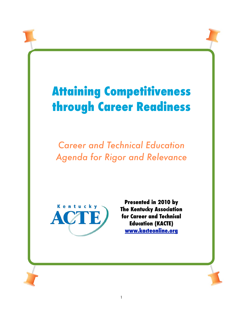# **Attaining Competitiveness through Career Readiness**

*Career and Technical Education Agenda for Rigor and Relevance*



**Presented in 2010 by The Kentucky Association for Career and Technical Education (KACTE) [www.kacteonline.org](http://www.kacteonline.org)**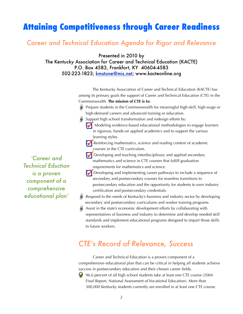# **Attaining Competitiveness through Career Readiness**

### *Career and Technical Education Agenda for Rigor and Relevance*

Presented in 2010 by

The Kentucky Association for Career and Technical Education (KACTE) P.O. Box 4583, Frankfort, KY 40604-4583 502-223-1823; [kmstone@mis.net;](mailto:kmstone@mis.net) www.kacteonline.org

> The Kentucky Association of Career and Technical Education (KACTE) has among its primary goals the support of Career and Technical Education (CTE) in the Commonwealth. **The mission of CTE is to:**

- Prepare students in the Commonwealth for meaningful high-skill, high-wage or high-demand careers and advanced training or education.
- Support high school transformation and redesign efforts by:

Modeling evidence-based educational methodologies to engage learners in rigorous, hands-on applied academics and to support the various learning styles.

Reinforcing mathematics, science and reading content of academic courses in the CTE curriculum.

- Developing and teaching interdisciplinary and applied secondary mathematics and science in CTE courses that fulfill graduation requirements for mathematics and science.
- Developing and implementing career pathways to include a sequence of secondary and postsecondary courses for seamless transitions to postsecondary education and the opportunity for students to earn industry certification and postsecondary credentials.
- Respond to the needs of Kentucky's business and industry sector by developing secondary and postsecondary curriculums and worker training programs.
- Assist in the state's economic development efforts by collaborating with representatives of business and industry to determine and develop needed skill standards and implement educational programs designed to impart those skills to future workers.

# *CTE's Record of Relevance, Success*

 Career and Technical Education is a proven component of a comprehensive educational plan that can be critical in helping all students achieve success in postsecondary education and their chosen career fields.

96.6 percent of all high school students take at least one CTE course (2004  $\mathbf{G}$ Final Report, National Assessment of Vocational Education). More than 300,000 Kentucky students currently are enrolled in at least one CTE course.

*'Career and Technical Eduction is a proven component of a comprehensive educational plan'*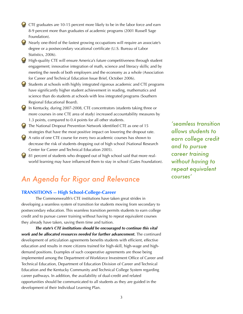- CTE graduates are 10-15 percent more likely to be in the labor force and earn 8-9 percent more than graduates of academic programs (2001 Russell Sage Foundation).
- Nearly one-third of the fastest growing occupations will require an associate's degree or a postsecondary vocational certificate (U.S. Bureau of Labor Statistics, 2006).
- **High-quality CTE will ensure America's future competitiveness through student** engagement; innovative integration of math, science and literacy skills; and by meeting the needs of both employers and the economy as a whole (Association for Career and Technical Education Issue Brief, October 2006).
- Students at schools with highly integrated rigorous academic and CTE programs have significantly higher student achievement in reading, mathematics and science than do students at schools with less integrated programs (Southern Regional Educational Board).
- In Kentucky, during 2007-2008, CTE concentrators (students taking three or more courses in one CTE area of study) increased accountability measures by 1.3 points, compared to 0.4 points for all other students.
- The National Dropout Prevention Network identified CTE as one of 15 strategies that have the most positive impact on lowering the dropout rate.
- A ratio of one CTE course for every two academic courses has shown to decrease the risk of students dropping out of high school (National Research Center for Career and Technical Education 2005).
- 81 percent of students who dropped out of high school said that more realworld learning may have influenced them to stay in school (Gates Foundation).

# *An Agenda for Rigor and Relevance*

#### **TRANSITIONS -- High School-College-Career**

The Commonwealth's CTE institutions have taken great strides in developing a seamless system of transition for students moving from secondary to postsecondary education. This seamless transition permits students to earn college credit and to pursue career training without having to repeat equivalent courses they already have taken, saving them time and tuition.

 *The state's CTE institutions should be encouraged to continue this vital work and be allocated resources needed for further advancement.* The continued development of articulation agreements benefits students with efficient, effective education and results in more citizens trained for high-skill, high-wage and highdemand positions. Examples of such cooperative agreements are those being implemented among the Department of Workforce Investment Office of Career and Technical Education, Department of Education Division of Career and Technical Education and the Kentucky Community and Technical College System regarding career pathways. In addition, the availability of dual-credit and related opportunities should be communicated to all students as they are guided in the development of their Individual Learning Plan.

*'seamless transition allows students to earn college credit and to pursue career training without having to repeat equivalent courses'*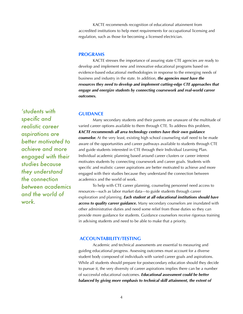KACTE recommends recognition of educational attainment from accredited institutions to help meet requirements for occupational licensing and regulation, such as those for becoming a licensed electrician.

#### **PROGRAMS**

KACTE stresses the importance of assuring state CTE agencies are ready to develop and implement new and innovative educational programs based on evidence-based educational methodologies in response to the emerging needs of business and industry in the state. In addition, *the agencies must have the resources they need to develop and implement cutting-edge CTE approaches that engage and energize students by connecting coursework and real-world career outcomes.* 

#### **GUIDANCE**

Many secondary students and their parents are unaware of the multitude of varied career options available to them through CTE. To address this problem, *KACTE recommends all area technology centers have their own guidance counselor.* At the very least, existing high school counseling staff need to be made aware of the opportunities and career pathways available to students through CTE and guide students interested in CTE through their Individual Learning Plan. Individual academic planning based around career clusters or career interest motivates students by connecting coursework and career goals. Students with specific and realistic career aspirations are better motivated to achieve and more engaged with their studies because they understand the connection between academics and the world of work.

 To help with CTE career planning, counseling personnel need access to resources—such as labor market data—to guide students through career exploration and planning. *Each student at all educational institutions should have access to quality career guidance.* Many secondary counselors are inundated with other administrative duties and need some relief from those duties so they can provide more guidance for students. Guidance counselors receive rigorous training in advising students and need to be able to make that a priority.

#### **ACCOUNTABILITY/TESTING**

Academic and technical assessments are essential to measuring and guiding educational progress. Assessing outcomes must account for a diverse student body composed of individuals with varied career goals and aspirations. While all students should prepare for postsecondary education should they decide to pursue it, the very diversity of career aspirations implies there can be a number of successful educational outcomes. *Educational assessment could be better*  balanced by giving more emphasis to technical skill attainment, the extent of

*'students with specific and realistic career aspirations are better motivated to achieve and more engaged with their studies because they understand the connection between academics and the world of work*.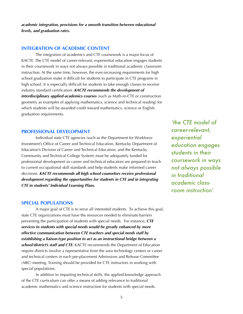*academic integration, provisions for a smooth transition between educational levels, and graduation rates.* 

#### **INTEGRATION OF ACADEMIC CONTENT**

The integration of academics and CTE coursework is a major focus of KACTE. The CTE model of career-relevant, experiential education engages students in their coursework in ways not always possible in traditional academic classroom instruction. At the same time, however, the ever-increasing requirements for high school graduation make it difficult for students to participate in CTE programs in high school. It is especially difficult for students to take enough classes to receive industry standard certification. *KACTE recommends the development of interdisciplinary applied-academics courses* (such as Math-in-CTE or construction geometry as examples of applying mathematics, science and technical reading) for which students will be awarded credit toward mathematics, science or English graduation requirements.

#### **PROFESSIONAL DEVELOPMENT**

Individual state CTE agencies (such as the Department for Workforce Investment's Office of Career and Technical Education, Kentucky Department of Education's Division of Career and Technical Education, and the Kentucky Community and Technical College System) must be adequately funded for professional development so career and technical educators are prepared to teach to current occupational skill standards and help students make informed career decisions. *KACTE recommends all high school counselors receive professional development regarding the opportunities for students in CTE and in integrating CTE in students' Individual Learning Plans.*

#### **SPECIAL POPULATIONS**

A major goal of CTE is to serve all interested students. To achieve this goal, state CTE organizations must have the resources needed to eliminate barriers preventing the participation of students with special needs. For instance, *CTE services to students with special needs would be greatly enhanced by more effective communication between CTE teachers and special needs staff by establishing a liaison-type position to act as an instructional bridge between a school/district's staff and CTE.* KACTE recommends the Department of Education require districts involve a representative from the area technology centers or career and technical centers in each pre-placement Admissions and Release Committee (ARC) meeting. Training should be provided for CTE instructors in working with special populations.

 In addition to imparting technical skills, the applied-knowledge approach of the CTE curriculum can offer a means of adding relevance to traditional academic mathematics and science instruction for students with special needs.

*'the CTE model of career-relevant, experiential education engages students in their coursework in ways not always possible in traditional academic classroom instruction'*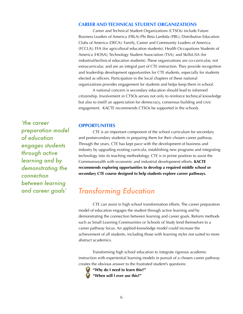#### **CAREER AND TECHNICAL STUDENT ORGANIZATIONS**

Career and Technical Student Organizations (CTSOs) include Future Business Leaders of America (FBLA)-Phi Beta Lambda (PBL); Distributive Education Clubs of America (DECA); Family, Career and Community Leaders of America (FCCLA); FFA (for agricultural education students); Health Occupations Students of America (HOSA); Technology Student Association (TSA); and SkillsUSA (for industrial/technical education students). These organizations are co-curricular, not extracurricular, and are an integral part of CTE instruction. They provide recognition and leadership development opportunities for CTE students, especially for students elected as officers. Participation in the local chapters of these national organizations provides engagement for students and helps keep them in school.

 A national concern is secondary education should lead to informed citizenship. Involvement in CTSOs serves not only to reinforce technical knowledge but also to instill an appreciation for democracy, consensus building and civic engagement. KACTE recommends CTSOs be supported in the schools.

#### **OPPORTUNITIES**

CTE is an important component of the school curriculum for secondary and postsecondary students in preparing them for their chosen career pathway. Through the years, CTE has kept pace with the development of business and industry by upgrading existing curricula, establishing new programs and integrating technology into its teaching methodology. CTE is in prime position to assist the Commonwealth with economic and industrial development efforts. **KACTE recommends exploring opportunities to develop a required middle school or secondary CTE course designed to help students explore career pathways.** 

## *Transforming Education*

 CTE can assist in high school transformation efforts. The career preparation model of education engages the student through active learning and by demonstrating the connection between learning and career goals. Reform methods such as Small Learning Communities or Schools of Study lend themselves to a career pathway focus. An applied-knowledge model could increase the achievement of all students, including those with learning styles not suited to more abstract academics.

 Transforming high school education to integrate rigorous academic instruction with experiential learning models in pursuit of a chosen career pathway creates the obvious answer to the frustrated student's questions:

**"Why do I need to learn this?" "When will I ever use this?"**

*'the career preparation model of education engages students through active learning and by demonstrating the connection between learning and career goals'*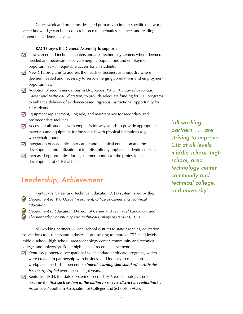Coursework and programs designed primarily to impart specific real world career knowledge can be used to reinforce mathematics, science, and reading content of academic classes.

#### **KACTE urges the General Assembly to support:**

- New career and technical centers and area technology centers where deemed needed and necessary to serve emerging populations and employment opportunities with equitable access for all students.
- $\blacksquare$  New CTE programs to address the needs of business and industry where deemed needed and necessary to serve emerging populations and employment opportunities.
- Adoption of recommendations in LRC Report #315, *A Study of Secondary Career and Technical Education*, to provide adequate funding for CTE programs to enhance delivery of evidence-based, rigorous instructional opportunity for all students.
- Equipment replacement, upgrade, and maintenance for secondary and postsecondary facilities.
- $\blacksquare$  Access for all students with emphasis for ways/funds to provide appropriate materials and equipment for individuals with physical limitations (e.g., wheelchair bound).
- Integration of academics into career and technical education and the development and utilization of interdisciplinary applied academic courses.
- $\blacksquare$  Increased opportunities during summer months for the professional development of CTE teachers.

# *Leadership, Achievement*

- Kentucky's Career and Technical Education (CTE) system is led by the; *Department for Workforce Investment, Office of Career and Technical Education,*
- *Department of Education, Division of Career and Technical Education, and The Kentucky Community and Technical College System (KCTCS).*

 All working partners — local school districts to state agencies, education associations to business and industry — are striving to improve CTE at all levels (middle school, high school, area technology center, community and technical college, and university). Some highlights of recent achievement:

- Kentucky pioneered occupational skill standard certificate programs, which were created in partnership with business and industry to meet current workplace needs. The percent of *students earning skill standard certificates has nearly tripled* over the last eight years.
- Kentucky TECH, the state's system of secondary Area Technology Centers, became the *first such system in the nation to receive district accreditation* by AdvanceEd/ Southern Association of Colleges and Schools (SACS).

*'all working partners . . . are striving to improve CTE at all levels: middle school, high school, area technology center, community and technical college, and university'*